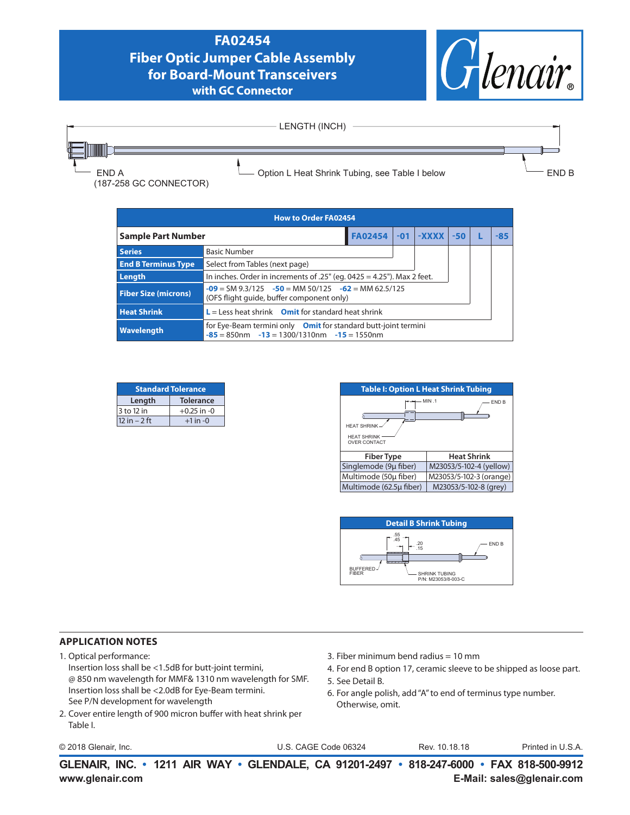## **FA02454 Fiber Optic Jumper Cable Assembly for Board-Mount Transceivers with GC Connector**





| <b>How to Order FA02454</b> |                                                                                                                       |                |  |                          |  |  |       |
|-----------------------------|-----------------------------------------------------------------------------------------------------------------------|----------------|--|--------------------------|--|--|-------|
| <b>Sample Part Number</b>   |                                                                                                                       | <b>FA02454</b> |  | $-01$ $-$ XXXX $-50$ $ $ |  |  | $-85$ |
| <b>Series</b>               | <b>Basic Number</b>                                                                                                   |                |  |                          |  |  |       |
| <b>End B Terminus Type</b>  | Select from Tables (next page)                                                                                        |                |  |                          |  |  |       |
| Length                      | In inches. Order in increments of $.25$ " (eq. 0425 = 4.25"). Max 2 feet.                                             |                |  |                          |  |  |       |
| <b>Fiber Size (microns)</b> | $-09 = SM$ 9.3/125 $-50 = MM$ 50/125 $-62 = MM$ 62.5/125<br>(OFS flight guide, buffer component only)                 |                |  |                          |  |  |       |
| <b>Heat Shrink</b>          | $L =$ Less heat shrink Omit for standard heat shrink                                                                  |                |  |                          |  |  |       |
| Wavelength                  | for Eye-Beam termini only Omit for standard butt-joint termini<br>$-85 = 850$ nm $-13 = 1300/1310$ nm $-15 = 1550$ nm |                |  |                          |  |  |       |

| <b>Standard Tolerance</b>      |                  |  |  |
|--------------------------------|------------------|--|--|
| Length                         | <b>Tolerance</b> |  |  |
| 3 to 12 in                     | $+0.25$ in $-0$  |  |  |
| $12 in - 2 ft$<br>$+1$ in $-0$ |                  |  |  |





## **APPLICATION NOTES**

- 1. Optical performance:
	- Insertion loss shall be <1.5dB for butt-joint termini, @ 850 nm wavelength for MMF& 1310 nm wavelength for SMF. Insertion loss shall be <2.0dB for Eye-Beam termini. See P/N development for wavelength
- 2. Cover entire length of 900 micron buffer with heat shrink per Table I.
- © 2018 Glenair, Inc. U.S. CAGE Code 06324 Printed in U.S.A.
- 3. Fiber minimum bend radius = 10 mm
- 4. For end B option 17, ceramic sleeve to be shipped as loose part.
- 5. See Detail B.
- 6. For angle polish, add "A" to end of terminus type number. Otherwise, omit.

Rev. 10.18.18

**www.glenair.com E-Mail: sales@glenair.com GLENAIR, INC. • 1211 AIR WAY • GLENDALE, CA 91201-2497 • 818-247-6000 • FAX 818-500-9912**